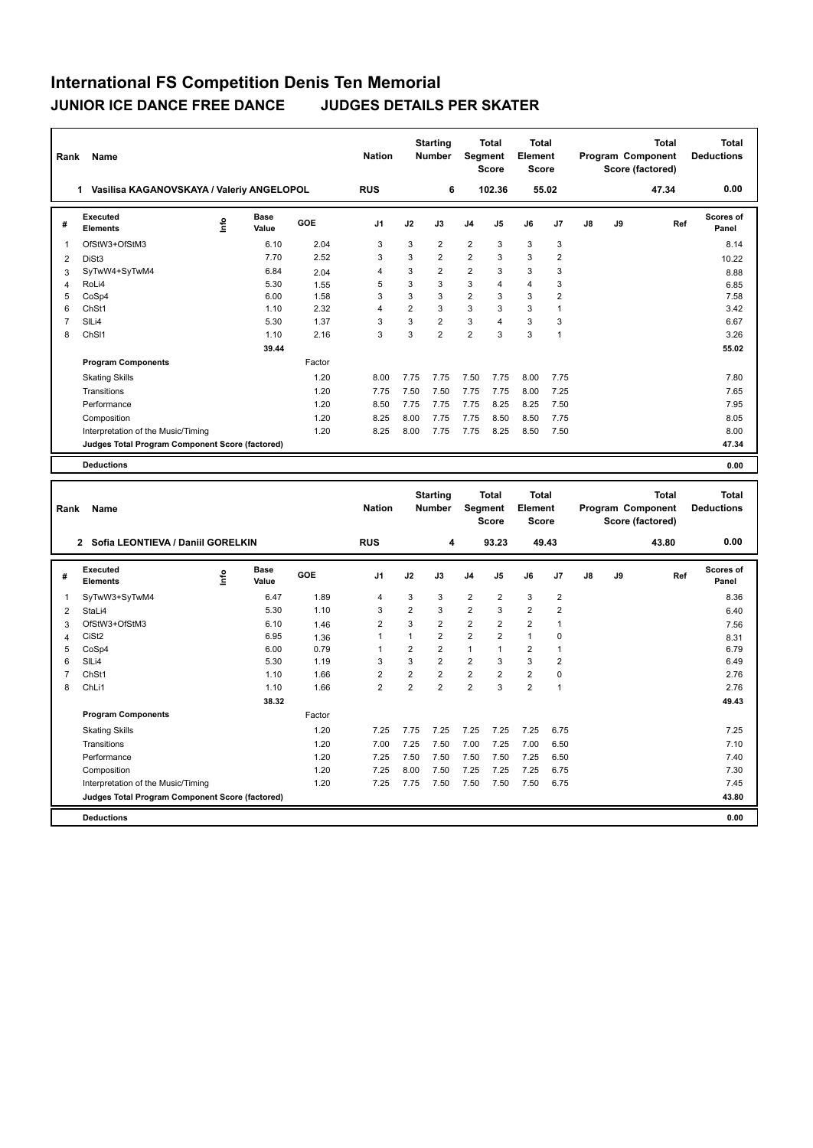## **International FS Competition Denis Ten Memorial JUNIOR ICE DANCE FREE DANCE JUDGES DETAILS PER SKATER**

| Rank           | Name                                            |      |                      |              | <b>Nation</b>  |                | <b>Starting</b><br>Number | Segment        | <b>Total</b><br>Score   | <b>Total</b><br><b>Element</b><br><b>Score</b> |                |    |    | Program Component<br>Score (factored) | <b>Total</b> | <b>Total</b><br><b>Deductions</b> |
|----------------|-------------------------------------------------|------|----------------------|--------------|----------------|----------------|---------------------------|----------------|-------------------------|------------------------------------------------|----------------|----|----|---------------------------------------|--------------|-----------------------------------|
|                | 1 Vasilisa KAGANOVSKAYA / Valeriy ANGELOPOL     |      |                      |              | <b>RUS</b>     |                | 6                         |                | 102.36                  | 55.02                                          |                |    |    |                                       | 47.34        | 0.00                              |
| #              | <b>Executed</b><br><b>Elements</b>              | ١nf٥ | Base<br>Value        | GOE          | J1             | J2             | J3                        | J4             | J5                      | J6                                             | J7             | J8 | J9 |                                       | Ref          | <b>Scores of</b><br>Panel         |
| $\mathbf{1}$   | OfStW3+OfStM3                                   |      | 6.10                 | 2.04         | 3              | 3              | $\overline{2}$            | $\overline{2}$ | 3                       | 3                                              | 3              |    |    |                                       |              | 8.14                              |
| $\overline{2}$ | DiSt3                                           |      | 7.70                 | 2.52         | 3              | 3              | $\overline{2}$            | $\overline{2}$ | 3                       | 3                                              | $\overline{2}$ |    |    |                                       |              | 10.22                             |
| 3              | SyTwW4+SyTwM4                                   |      | 6.84                 | 2.04         | 4              | 3              | $\overline{2}$            | $\overline{2}$ | 3                       | 3                                              | $\mathbf{3}$   |    |    |                                       |              | 8.88                              |
| $\overline{4}$ | RoLi4                                           |      | 5.30                 | 1.55         | 5              | 3              | 3                         | 3              | $\overline{\mathbf{A}}$ | 4                                              | 3              |    |    |                                       |              | 6.85                              |
| 5              | CoSp4                                           |      | 6.00                 | 1.58         | 3              | 3              | 3                         | $\overline{2}$ | 3                       | 3                                              | $\overline{2}$ |    |    |                                       |              | 7.58                              |
| 6              | ChSt1                                           |      | 1.10                 | 2.32         | $\overline{4}$ | $\overline{2}$ | 3                         | 3              | 3                       | 3                                              | $\overline{1}$ |    |    |                                       |              | 3.42                              |
| $\overline{7}$ | SILi4                                           |      | 5.30                 | 1.37         | 3              | 3              | $\overline{2}$            | 3              | $\overline{4}$          | 3                                              | 3              |    |    |                                       |              | 6.67                              |
| 8              | ChS <sub>11</sub>                               |      | 1.10                 | 2.16         | 3              | 3              | $\overline{2}$            | $\overline{2}$ | 3                       | 3                                              | $\overline{1}$ |    |    |                                       |              | 3.26                              |
|                |                                                 |      | 39.44                |              |                |                |                           |                |                         |                                                |                |    |    |                                       |              | 55.02                             |
|                | <b>Program Components</b>                       |      |                      | Factor       |                |                |                           |                |                         |                                                |                |    |    |                                       |              |                                   |
|                | <b>Skating Skills</b>                           |      |                      | 1.20         | 8.00           | 7.75           | 7.75                      | 7.50           | 7.75                    | 8.00                                           | 7.75           |    |    |                                       |              | 7.80                              |
|                | Transitions                                     |      |                      | 1.20         | 7.75           | 7.50           | 7.50                      | 7.75           | 7.75                    | 8.00                                           | 7.25           |    |    |                                       |              | 7.65                              |
|                | Performance                                     |      |                      | 1.20         | 8.50           | 7.75           | 7.75                      | 7.75           | 8.25                    | 8.25                                           | 7.50           |    |    |                                       |              | 7.95                              |
|                | Composition                                     |      |                      | 1.20         | 8.25           | 8.00           | 7.75                      | 7.75           | 8.50                    | 8.50                                           | 7.75           |    |    |                                       |              | 8.05                              |
|                | Interpretation of the Music/Timing              |      |                      | 1.20         | 8.25           | 8.00           | 7.75                      | 7.75           | 8.25                    | 8.50                                           | 7.50           |    |    |                                       |              | 8.00                              |
|                | Judges Total Program Component Score (factored) |      |                      |              |                |                |                           |                |                         |                                                |                |    |    |                                       |              | 47.34                             |
|                | <b>Deductions</b>                               |      |                      |              |                |                |                           |                |                         |                                                |                |    |    |                                       |              | 0.00                              |
|                |                                                 |      |                      |              |                |                |                           |                |                         |                                                |                |    |    |                                       |              |                                   |
|                |                                                 |      |                      |              |                |                |                           |                |                         |                                                |                |    |    |                                       |              |                                   |
|                |                                                 |      |                      |              |                |                | <b>Starting</b>           |                | <b>Total</b>            | <b>Total</b>                                   |                |    |    |                                       | <b>Total</b> | <b>Total</b>                      |
| Rank           | Name                                            |      |                      |              | <b>Nation</b>  |                | <b>Number</b>             | Segment        |                         | Element                                        |                |    |    | Program Component                     |              | <b>Deductions</b>                 |
|                |                                                 |      |                      |              |                |                |                           |                | Score                   | <b>Score</b>                                   |                |    |    | Score (factored)                      |              |                                   |
|                | 2 Sofia LEONTIEVA / Daniil GORELKIN             |      |                      |              | <b>RUS</b>     |                | $\overline{\mathbf{4}}$   |                | 93.23                   | 49.43                                          |                |    |    |                                       | 43.80        | 0.00                              |
| #              | <b>Executed</b><br><b>Elements</b>              | lnfo | <b>Base</b><br>Value | GOE          | J1             | J2             | J3                        | J <sub>4</sub> | J5                      | J6                                             | J7             | J8 | J9 |                                       | Ref          | <b>Scores of</b><br>Panel         |
| $\mathbf{1}$   |                                                 |      | 6.47                 | 1.89         | 4              | 3              | 3                         | $\overline{2}$ | $\overline{2}$          | 3                                              | $\overline{2}$ |    |    |                                       |              | 8.36                              |
|                | SyTwW3+SyTwM4<br>StaLi4                         |      | 5.30                 | 1.10         | 3              | $\overline{2}$ | 3                         | $\overline{2}$ | 3                       | $\overline{2}$                                 | $\overline{2}$ |    |    |                                       |              | 6.40                              |
| 2              | OfStW3+OfStM3                                   |      | 6.10                 |              | $\overline{2}$ | 3              | $\overline{2}$            | $\overline{2}$ | $\overline{2}$          | $\overline{2}$                                 | $\mathbf{1}$   |    |    |                                       |              |                                   |
| 3<br>4         | CiSt <sub>2</sub>                               |      | 6.95                 | 1.46         | $\mathbf{1}$   | $\mathbf{1}$   | $\overline{2}$            | $\overline{2}$ | $\overline{2}$          | $\mathbf{1}$                                   | $\mathbf 0$    |    |    |                                       |              | 7.56                              |
| 5              | CoSp4                                           |      | 6.00                 | 1.36<br>0.79 | $\mathbf{1}$   | $\overline{2}$ | $\overline{2}$            | $\mathbf{1}$   | $\mathbf{1}$            | $\overline{\mathbf{c}}$                        | $\overline{1}$ |    |    |                                       |              | 8.31<br>6.79                      |
| 6              | SILi4                                           |      | 5.30                 | 1.19         | 3              | 3              | $\overline{2}$            | $\overline{2}$ | 3                       | 3                                              | $\overline{2}$ |    |    |                                       |              | 6.49                              |
| $\overline{7}$ | ChSt1                                           |      | 1.10                 | 1.66         | $\overline{2}$ | $\overline{2}$ | $\overline{2}$            | $\overline{2}$ | $\overline{2}$          | $\overline{2}$                                 | $\pmb{0}$      |    |    |                                       |              | 2.76                              |
| 8              | ChLi1                                           |      | 1.10                 | 1.66         | $\overline{2}$ | $\overline{2}$ | $\overline{2}$            | $\overline{2}$ | 3                       | $\overline{2}$                                 | $\overline{1}$ |    |    |                                       |              | 2.76                              |
|                |                                                 |      | 38.32                |              |                |                |                           |                |                         |                                                |                |    |    |                                       |              | 49.43                             |
|                | <b>Program Components</b>                       |      |                      | Factor       |                |                |                           |                |                         |                                                |                |    |    |                                       |              |                                   |
|                | <b>Skating Skills</b>                           |      |                      | 1.20         | 7.25           | 7.75           | 7.25                      | 7.25           | 7.25                    | 7.25                                           | 6.75           |    |    |                                       |              | 7.25                              |
|                | Transitions                                     |      |                      | 1.20         | 7.00           | 7.25           | 7.50                      | 7.00           | 7.25                    | 7.00                                           | 6.50           |    |    |                                       |              | 7.10                              |
|                | Performance                                     |      |                      | 1.20         | 7.25           | 7.50           | 7.50                      | 7.50           | 7.50                    | 7.25                                           | 6.50           |    |    |                                       |              | 7.40                              |
|                | Composition                                     |      |                      | 1.20         | 7.25           | 8.00           | 7.50                      | 7.25           | 7.25                    | 7.25                                           | 6.75           |    |    |                                       |              | 7.30                              |
|                | Interpretation of the Music/Timing              |      |                      | 1.20         | 7.25           | 7.75           | 7.50                      | 7.50           | 7.50                    | 7.50                                           | 6.75           |    |    |                                       |              | 7.45                              |
|                | Judges Total Program Component Score (factored) |      |                      |              |                |                |                           |                |                         |                                                |                |    |    |                                       |              | 43.80                             |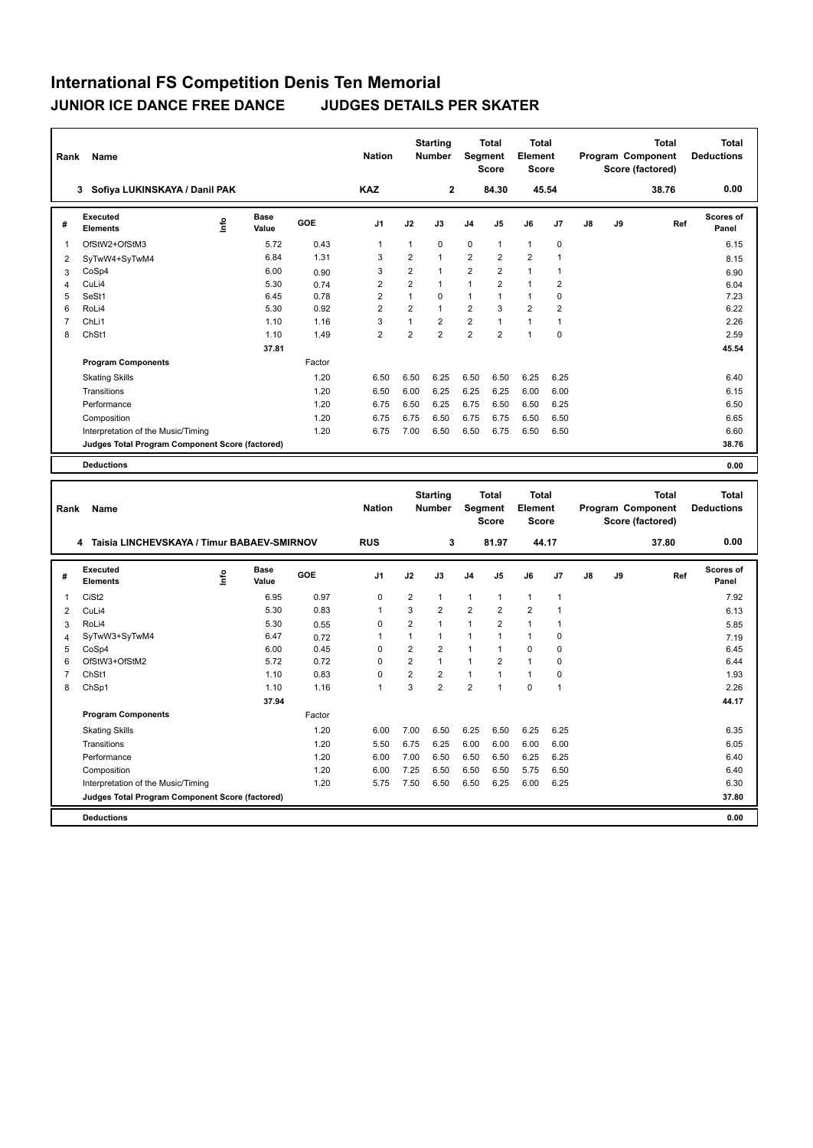## **International FS Competition Denis Ten Memorial JUNIOR ICE DANCE FREE DANCE JUDGES DETAILS PER SKATER**

| Rank           | Name                                                                 |                           |               |              | <b>Nation</b>               |                                | <b>Starting</b><br><b>Number</b> | Segment                      | <b>Total</b><br><b>Score</b> | <b>Total</b><br>Element<br><b>Score</b>        |                            |    |    | <b>Total</b><br>Program Component<br>Score (factored) |     | <b>Total</b><br><b>Deductions</b> |
|----------------|----------------------------------------------------------------------|---------------------------|---------------|--------------|-----------------------------|--------------------------------|----------------------------------|------------------------------|------------------------------|------------------------------------------------|----------------------------|----|----|-------------------------------------------------------|-----|-----------------------------------|
|                | 3 Sofiya LUKINSKAYA / Danil PAK                                      |                           |               |              | <b>KAZ</b>                  |                                | $\overline{2}$                   |                              | 84.30                        | 45.54                                          |                            |    |    | 38.76                                                 |     | 0.00                              |
| #              | Executed<br><b>Elements</b>                                          | $\mathop{\mathsf{Inflo}}$ | Base<br>Value | GOE          | J1                          | J2                             | J3                               | J <sub>4</sub>               | J5                           | J6                                             | J7                         | J8 | J9 |                                                       | Ref | <b>Scores of</b><br>Panel         |
| $\mathbf{1}$   | OfStW2+OfStM3                                                        |                           | 5.72          | 0.43         | $\mathbf{1}$                | $\mathbf{1}$                   | 0                                | $\mathbf 0$                  | 1                            | 1                                              | $\pmb{0}$                  |    |    |                                                       |     | 6.15                              |
| $\overline{2}$ | SyTwW4+SyTwM4                                                        |                           | 6.84          | 1.31         | 3                           | $\overline{2}$                 | 1                                | $\overline{2}$               | $\overline{2}$               | $\overline{2}$                                 | $\overline{1}$             |    |    |                                                       |     | 8.15                              |
| 3              | CoSp4                                                                |                           | 6.00          | 0.90         | 3                           | $\overline{2}$                 | 1                                | $\overline{2}$               | $\overline{2}$               | $\mathbf{1}$                                   | $\overline{1}$             |    |    |                                                       |     | 6.90                              |
| 4              | CuLi4                                                                |                           | 5.30          | 0.74         | $\overline{2}$              | $\overline{2}$                 | 1                                | $\mathbf{1}$                 | $\overline{2}$               | $\mathbf{1}$                                   | $\overline{2}$             |    |    |                                                       |     | 6.04                              |
| 5              | SeSt1                                                                |                           | 6.45          | 0.78         | $\overline{2}$              | $\mathbf{1}$                   | 0                                | $\mathbf{1}$                 | 1                            | $\mathbf{1}$                                   | $\pmb{0}$                  |    |    |                                                       |     | 7.23                              |
| 6              | RoLi4                                                                |                           | 5.30          | 0.92         | $\overline{2}$              | $\overline{2}$                 | $\mathbf{1}$                     | $\overline{2}$               | 3                            | $\overline{2}$                                 | $\overline{2}$             |    |    |                                                       |     | 6.22                              |
| $\overline{7}$ | ChL <sub>i1</sub>                                                    |                           | 1.10          | 1.16         | $\mathbf{3}$                | $\mathbf{1}$                   | $\overline{2}$                   | $\overline{2}$               | $\mathbf{1}$                 | 1                                              | $\overline{1}$             |    |    |                                                       |     | 2.26                              |
| 8              | ChSt1                                                                |                           | 1.10          | 1.49         | $\overline{2}$              | $\overline{2}$                 | $\overline{2}$                   | $\overline{2}$               | $\overline{2}$               | $\mathbf{1}$                                   | $\mathbf 0$                |    |    |                                                       |     | 2.59                              |
|                |                                                                      |                           | 37.81         |              |                             |                                |                                  |                              |                              |                                                |                            |    |    |                                                       |     | 45.54                             |
|                | <b>Program Components</b>                                            |                           |               | Factor       |                             |                                |                                  |                              |                              |                                                |                            |    |    |                                                       |     |                                   |
|                | <b>Skating Skills</b>                                                |                           |               | 1.20         | 6.50                        | 6.50                           | 6.25                             | 6.50                         | 6.50                         | 6.25                                           | 6.25                       |    |    |                                                       |     | 6.40                              |
|                | Transitions                                                          |                           |               | 1.20         | 6.50                        | 6.00                           | 6.25                             | 6.25                         | 6.25                         | 6.00                                           | 6.00                       |    |    |                                                       |     | 6.15                              |
|                | Performance                                                          |                           |               | 1.20         | 6.75                        | 6.50                           | 6.25                             | 6.75                         | 6.50                         | 6.50                                           | 6.25                       |    |    |                                                       |     | 6.50                              |
|                | Composition                                                          |                           |               | 1.20         | 6.75                        | 6.75                           | 6.50                             | 6.75                         | 6.75                         | 6.50                                           | 6.50                       |    |    |                                                       |     | 6.65                              |
|                | Interpretation of the Music/Timing                                   |                           |               | 1.20         | 6.75                        | 7.00                           | 6.50                             | 6.50                         | 6.75                         | 6.50                                           | 6.50                       |    |    |                                                       |     | 6.60                              |
|                | Judges Total Program Component Score (factored)                      |                           |               |              |                             |                                |                                  |                              |                              |                                                |                            |    |    |                                                       |     | 38.76                             |
|                |                                                                      |                           |               |              |                             |                                |                                  |                              |                              |                                                |                            |    |    |                                                       |     |                                   |
|                | <b>Deductions</b>                                                    |                           |               |              |                             |                                |                                  |                              |                              |                                                |                            |    |    |                                                       |     | 0.00                              |
|                |                                                                      |                           |               |              |                             |                                |                                  |                              |                              |                                                |                            |    |    |                                                       |     |                                   |
| Rank           | Name                                                                 |                           |               |              | <b>Nation</b>               |                                | <b>Starting</b><br><b>Number</b> | Segment                      | Total<br><b>Score</b>        | <b>Total</b><br><b>Element</b><br><b>Score</b> |                            |    |    | <b>Total</b><br>Program Component<br>Score (factored) |     | <b>Total</b><br><b>Deductions</b> |
|                | 4 Taisia LINCHEVSKAYA / Timur BABAEV-SMIRNOV                         |                           |               |              | <b>RUS</b>                  |                                | 3                                |                              | 81.97                        | 44.17                                          |                            |    |    | 37.80                                                 |     | 0.00                              |
| #              | Executed<br><b>Elements</b>                                          | Info                      | Base<br>Value | GOE          | J <sub>1</sub>              | J2                             | J3                               | J4                           | J5                           | J6                                             | J7                         | J8 | J9 |                                                       | Ref | <b>Scores of</b><br>Panel         |
|                |                                                                      |                           |               |              |                             |                                |                                  |                              |                              |                                                |                            |    |    |                                                       |     |                                   |
| 1              | CiSt2                                                                |                           | 6.95          | 0.97         | $\mathbf 0$                 | $\overline{2}$                 | 1                                | $\mathbf{1}$                 | $\mathbf{1}$                 | $\mathbf{1}$                                   | $\overline{1}$             |    |    |                                                       |     | 7.92                              |
| $\overline{2}$ | CuLi4                                                                |                           | 5.30          | 0.83         | $\mathbf{1}$                | 3                              | $\overline{2}$                   | $\overline{2}$               | $\overline{2}$               | $\overline{2}$                                 | $\overline{1}$             |    |    |                                                       |     | 6.13                              |
| 3              | RoLi4                                                                |                           | 5.30          | 0.55         | $\mathbf 0$                 | $\overline{2}$                 | 1                                | $\mathbf{1}$                 | $\overline{2}$               | $\mathbf{1}$                                   | $\overline{1}$             |    |    |                                                       |     | 5.85                              |
| 4              | SyTwW3+SyTwM4                                                        |                           | 6.47          | 0.72         | $\mathbf{1}$<br>$\mathbf 0$ | $\mathbf{1}$<br>$\overline{2}$ | $\mathbf{1}$<br>$\overline{2}$   | $\mathbf{1}$<br>$\mathbf{1}$ | $\mathbf{1}$<br>1            | $\mathbf{1}$<br>0                              | $\mathbf 0$<br>$\mathbf 0$ |    |    |                                                       |     | 7.19                              |
| 5<br>6         | CoSp4<br>OfStW3+OfStM2                                               |                           | 6.00<br>5.72  | 0.45<br>0.72 | $\mathbf 0$                 | $\overline{2}$                 | $\mathbf{1}$                     | $\mathbf{1}$                 | $\overline{2}$               | $\mathbf{1}$                                   | $\mathbf 0$                |    |    |                                                       |     | 6.45<br>6.44                      |
| $\overline{7}$ | ChSt1                                                                |                           | 1.10          | 0.83         | $\mathbf 0$                 | $\overline{2}$                 | $\overline{2}$                   | $\mathbf{1}$                 | 1                            | $\mathbf{1}$                                   | $\pmb{0}$                  |    |    |                                                       |     | 1.93                              |
| 8              |                                                                      |                           | 1.10          | 1.16         | $\overline{1}$              | 3                              | $\overline{2}$                   | $\overline{2}$               | 1                            | 0                                              | $\overline{1}$             |    |    |                                                       |     | 2.26                              |
|                | ChSp1                                                                |                           |               |              |                             |                                |                                  |                              |                              |                                                |                            |    |    |                                                       |     |                                   |
|                | <b>Program Components</b>                                            |                           | 37.94         | Factor       |                             |                                |                                  |                              |                              |                                                |                            |    |    |                                                       |     | 44.17                             |
|                |                                                                      |                           |               |              |                             |                                |                                  |                              |                              |                                                |                            |    |    |                                                       |     |                                   |
|                | <b>Skating Skills</b>                                                |                           |               | 1.20         | 6.00                        | 7.00                           | 6.50                             | 6.25                         | 6.50                         | 6.25                                           | 6.25                       |    |    |                                                       |     | 6.35                              |
|                | Transitions                                                          |                           |               | 1.20         | 5.50                        | 6.75                           | 6.25                             | 6.00                         | 6.00                         | 6.00                                           | 6.00                       |    |    |                                                       |     | 6.05                              |
|                | Performance                                                          |                           |               | 1.20         | 6.00                        | 7.00                           | 6.50                             | 6.50                         | 6.50                         | 6.25                                           | 6.25                       |    |    |                                                       |     | 6.40                              |
|                | Composition                                                          |                           |               | 1.20         | 6.00                        | 7.25                           | 6.50                             | 6.50                         | 6.50                         | 5.75                                           | 6.50                       |    |    |                                                       |     | 6.40                              |
|                | Interpretation of the Music/Timing                                   |                           |               | 1.20         | 5.75                        | 7.50                           | 6.50                             | 6.50                         | 6.25                         | 6.00                                           | 6.25                       |    |    |                                                       |     | 6.30                              |
|                | Judges Total Program Component Score (factored)<br><b>Deductions</b> |                           |               |              |                             |                                |                                  |                              |                              |                                                |                            |    |    |                                                       |     | 37.80<br>0.00                     |